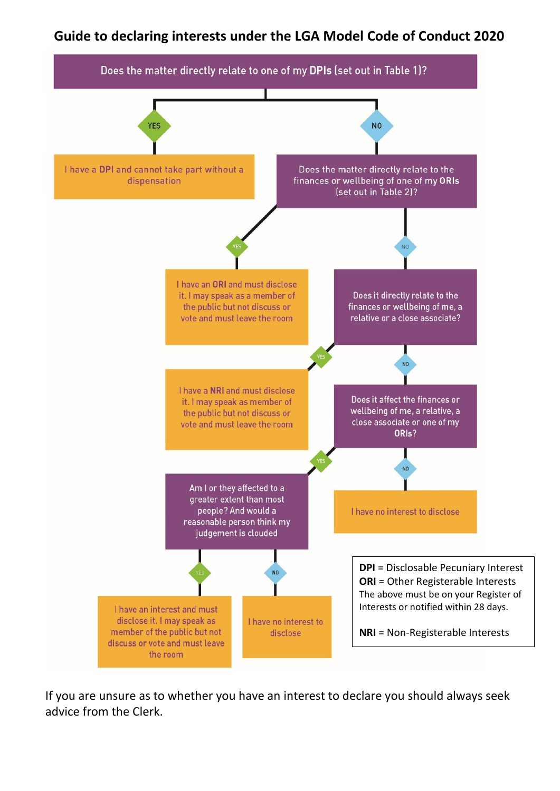## **Guide to declaring interests under the LGA Model Code of Conduct 2020**



If you are unsure as to whether you have an interest to declare you should always seek advice from the Clerk.